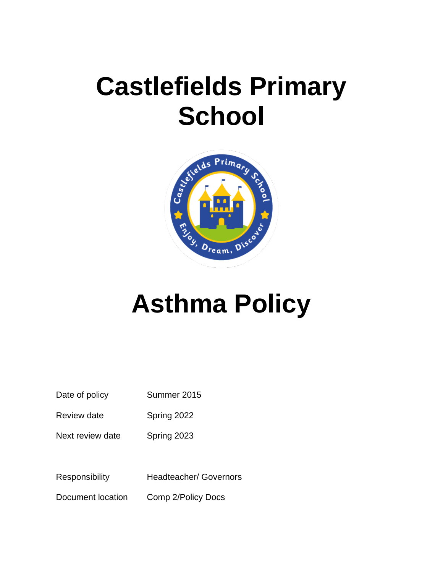## **Castlefields Primary School**



# **Asthma Policy**

| Date of policy | Summer 2015 |
|----------------|-------------|
|----------------|-------------|

Review date Spring 2022

Next review date Spring 2023

Responsibility Headteacher/ Governors

Document location Comp 2/Policy Docs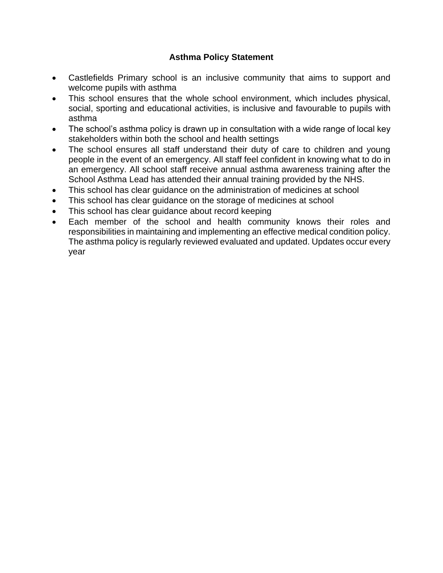#### **Asthma Policy Statement**

- Castlefields Primary school is an inclusive community that aims to support and welcome pupils with asthma
- This school ensures that the whole school environment, which includes physical, social, sporting and educational activities, is inclusive and favourable to pupils with asthma
- The school's asthma policy is drawn up in consultation with a wide range of local key stakeholders within both the school and health settings
- The school ensures all staff understand their duty of care to children and young people in the event of an emergency. All staff feel confident in knowing what to do in an emergency. All school staff receive annual asthma awareness training after the School Asthma Lead has attended their annual training provided by the NHS.
- This school has clear guidance on the administration of medicines at school
- This school has clear guidance on the storage of medicines at school
- This school has clear guidance about record keeping
- Each member of the school and health community knows their roles and responsibilities in maintaining and implementing an effective medical condition policy. The asthma policy is regularly reviewed evaluated and updated. Updates occur every year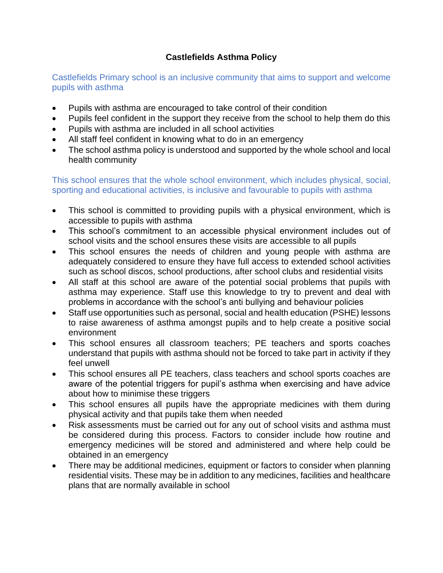#### **Castlefields Asthma Policy**

Castlefields Primary school is an inclusive community that aims to support and welcome pupils with asthma

- Pupils with asthma are encouraged to take control of their condition
- Pupils feel confident in the support they receive from the school to help them do this
- Pupils with asthma are included in all school activities
- All staff feel confident in knowing what to do in an emergency
- The school asthma policy is understood and supported by the whole school and local health community

This school ensures that the whole school environment, which includes physical, social, sporting and educational activities, is inclusive and favourable to pupils with asthma

- This school is committed to providing pupils with a physical environment, which is accessible to pupils with asthma
- This school's commitment to an accessible physical environment includes out of school visits and the school ensures these visits are accessible to all pupils
- This school ensures the needs of children and young people with asthma are adequately considered to ensure they have full access to extended school activities such as school discos, school productions, after school clubs and residential visits
- All staff at this school are aware of the potential social problems that pupils with asthma may experience. Staff use this knowledge to try to prevent and deal with problems in accordance with the school's anti bullying and behaviour policies
- Staff use opportunities such as personal, social and health education (PSHE) lessons to raise awareness of asthma amongst pupils and to help create a positive social environment
- This school ensures all classroom teachers; PE teachers and sports coaches understand that pupils with asthma should not be forced to take part in activity if they feel unwell
- This school ensures all PE teachers, class teachers and school sports coaches are aware of the potential triggers for pupil's asthma when exercising and have advice about how to minimise these triggers
- This school ensures all pupils have the appropriate medicines with them during physical activity and that pupils take them when needed
- Risk assessments must be carried out for any out of school visits and asthma must be considered during this process. Factors to consider include how routine and emergency medicines will be stored and administered and where help could be obtained in an emergency
- There may be additional medicines, equipment or factors to consider when planning residential visits. These may be in addition to any medicines, facilities and healthcare plans that are normally available in school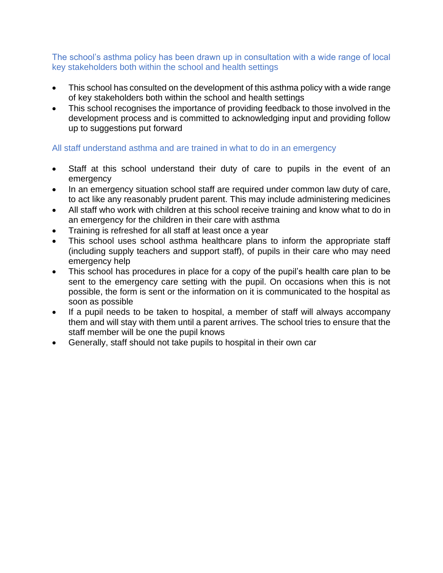The school's asthma policy has been drawn up in consultation with a wide range of local key stakeholders both within the school and health settings

- This school has consulted on the development of this asthma policy with a wide range of key stakeholders both within the school and health settings
- This school recognises the importance of providing feedback to those involved in the development process and is committed to acknowledging input and providing follow up to suggestions put forward

#### All staff understand asthma and are trained in what to do in an emergency

- Staff at this school understand their duty of care to pupils in the event of an emergency
- In an emergency situation school staff are required under common law duty of care, to act like any reasonably prudent parent. This may include administering medicines
- All staff who work with children at this school receive training and know what to do in an emergency for the children in their care with asthma
- Training is refreshed for all staff at least once a year
- This school uses school asthma healthcare plans to inform the appropriate staff (including supply teachers and support staff), of pupils in their care who may need emergency help
- This school has procedures in place for a copy of the pupil's health care plan to be sent to the emergency care setting with the pupil. On occasions when this is not possible, the form is sent or the information on it is communicated to the hospital as soon as possible
- If a pupil needs to be taken to hospital, a member of staff will always accompany them and will stay with them until a parent arrives. The school tries to ensure that the staff member will be one the pupil knows
- Generally, staff should not take pupils to hospital in their own car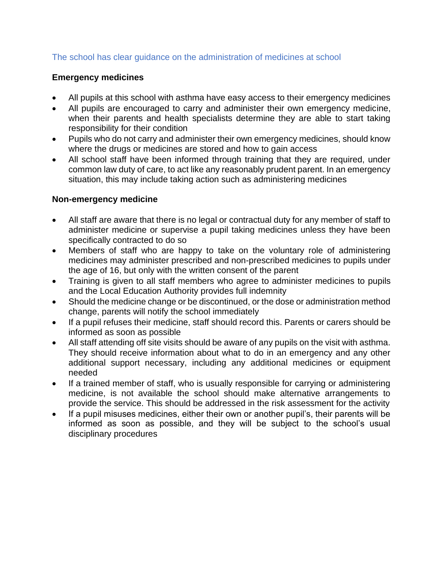#### The school has clear guidance on the administration of medicines at school

#### **Emergency medicines**

- All pupils at this school with asthma have easy access to their emergency medicines
- All pupils are encouraged to carry and administer their own emergency medicine, when their parents and health specialists determine they are able to start taking responsibility for their condition
- Pupils who do not carry and administer their own emergency medicines, should know where the drugs or medicines are stored and how to gain access
- All school staff have been informed through training that they are required, under common law duty of care, to act like any reasonably prudent parent. In an emergency situation, this may include taking action such as administering medicines

#### **Non-emergency medicine**

- All staff are aware that there is no legal or contractual duty for any member of staff to administer medicine or supervise a pupil taking medicines unless they have been specifically contracted to do so
- Members of staff who are happy to take on the voluntary role of administering medicines may administer prescribed and non-prescribed medicines to pupils under the age of 16, but only with the written consent of the parent
- Training is given to all staff members who agree to administer medicines to pupils and the Local Education Authority provides full indemnity
- Should the medicine change or be discontinued, or the dose or administration method change, parents will notify the school immediately
- If a pupil refuses their medicine, staff should record this. Parents or carers should be informed as soon as possible
- All staff attending off site visits should be aware of any pupils on the visit with asthma. They should receive information about what to do in an emergency and any other additional support necessary, including any additional medicines or equipment needed
- If a trained member of staff, who is usually responsible for carrying or administering medicine, is not available the school should make alternative arrangements to provide the service. This should be addressed in the risk assessment for the activity
- If a pupil misuses medicines, either their own or another pupil's, their parents will be informed as soon as possible, and they will be subject to the school's usual disciplinary procedures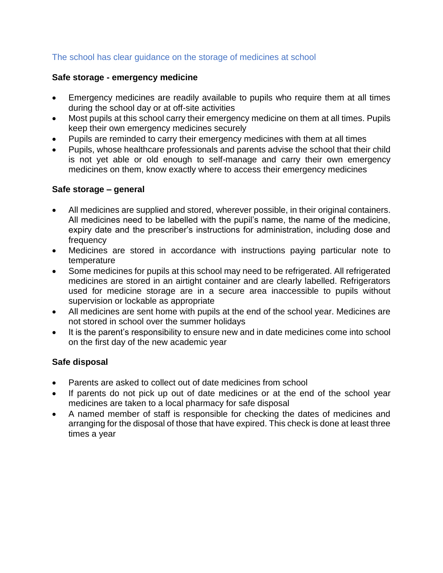#### The school has clear guidance on the storage of medicines at school

#### **Safe storage - emergency medicine**

- Emergency medicines are readily available to pupils who require them at all times during the school day or at off-site activities
- Most pupils at this school carry their emergency medicine on them at all times. Pupils keep their own emergency medicines securely
- Pupils are reminded to carry their emergency medicines with them at all times
- Pupils, whose healthcare professionals and parents advise the school that their child is not yet able or old enough to self-manage and carry their own emergency medicines on them, know exactly where to access their emergency medicines

#### **Safe storage – general**

- All medicines are supplied and stored, wherever possible, in their original containers. All medicines need to be labelled with the pupil's name, the name of the medicine, expiry date and the prescriber's instructions for administration, including dose and frequency
- Medicines are stored in accordance with instructions paying particular note to temperature
- Some medicines for pupils at this school may need to be refrigerated. All refrigerated medicines are stored in an airtight container and are clearly labelled. Refrigerators used for medicine storage are in a secure area inaccessible to pupils without supervision or lockable as appropriate
- All medicines are sent home with pupils at the end of the school year. Medicines are not stored in school over the summer holidays
- It is the parent's responsibility to ensure new and in date medicines come into school on the first day of the new academic year

#### **Safe disposal**

- Parents are asked to collect out of date medicines from school
- If parents do not pick up out of date medicines or at the end of the school year medicines are taken to a local pharmacy for safe disposal
- A named member of staff is responsible for checking the dates of medicines and arranging for the disposal of those that have expired. This check is done at least three times a year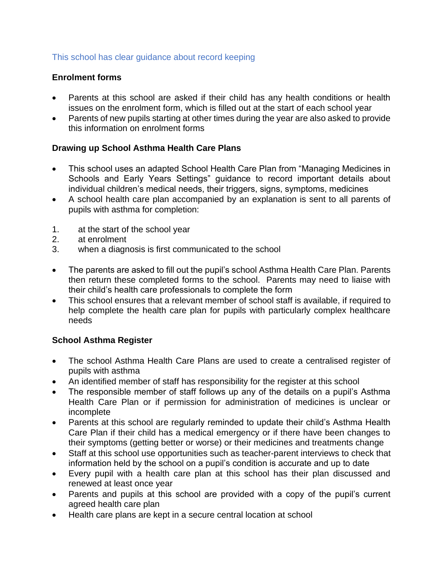#### This school has clear guidance about record keeping

#### **Enrolment forms**

- Parents at this school are asked if their child has any health conditions or health issues on the enrolment form, which is filled out at the start of each school year
- Parents of new pupils starting at other times during the year are also asked to provide this information on enrolment forms

#### **Drawing up School Asthma Health Care Plans**

- This school uses an adapted School Health Care Plan from "Managing Medicines in Schools and Early Years Settings" guidance to record important details about individual children's medical needs, their triggers, signs, symptoms, medicines
- A school health care plan accompanied by an explanation is sent to all parents of pupils with asthma for completion:
- 1. at the start of the school year
- 2. at enrolment
- 3. when a diagnosis is first communicated to the school
- The parents are asked to fill out the pupil's school Asthma Health Care Plan. Parents then return these completed forms to the school. Parents may need to liaise with their child's health care professionals to complete the form
- This school ensures that a relevant member of school staff is available, if required to help complete the health care plan for pupils with particularly complex healthcare needs

#### **School Asthma Register**

- The school Asthma Health Care Plans are used to create a centralised register of pupils with asthma
- An identified member of staff has responsibility for the register at this school
- The responsible member of staff follows up any of the details on a pupil's Asthma Health Care Plan or if permission for administration of medicines is unclear or incomplete
- Parents at this school are regularly reminded to update their child's Asthma Health Care Plan if their child has a medical emergency or if there have been changes to their symptoms (getting better or worse) or their medicines and treatments change
- Staff at this school use opportunities such as teacher-parent interviews to check that information held by the school on a pupil's condition is accurate and up to date
- Every pupil with a health care plan at this school has their plan discussed and renewed at least once year
- Parents and pupils at this school are provided with a copy of the pupil's current agreed health care plan
- Health care plans are kept in a secure central location at school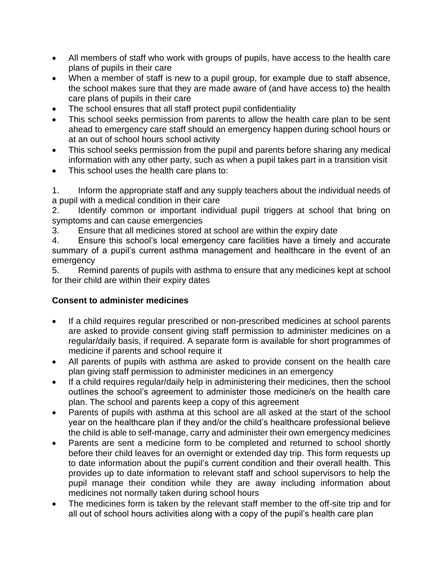- All members of staff who work with groups of pupils, have access to the health care plans of pupils in their care
- When a member of staff is new to a pupil group, for example due to staff absence, the school makes sure that they are made aware of (and have access to) the health care plans of pupils in their care
- The school ensures that all staff protect pupil confidentiality
- This school seeks permission from parents to allow the health care plan to be sent ahead to emergency care staff should an emergency happen during school hours or at an out of school hours school activity
- This school seeks permission from the pupil and parents before sharing any medical information with any other party, such as when a pupil takes part in a transition visit
- This school uses the health care plans to:

1. Inform the appropriate staff and any supply teachers about the individual needs of a pupil with a medical condition in their care

2. Identify common or important individual pupil triggers at school that bring on symptoms and can cause emergencies

3. Ensure that all medicines stored at school are within the expiry date

4. Ensure this school's local emergency care facilities have a timely and accurate summary of a pupil's current asthma management and healthcare in the event of an emergency

5. Remind parents of pupils with asthma to ensure that any medicines kept at school for their child are within their expiry dates

#### **Consent to administer medicines**

- If a child requires regular prescribed or non-prescribed medicines at school parents are asked to provide consent giving staff permission to administer medicines on a regular/daily basis, if required. A separate form is available for short programmes of medicine if parents and school require it
- All parents of pupils with asthma are asked to provide consent on the health care plan giving staff permission to administer medicines in an emergency
- If a child requires regular/daily help in administering their medicines, then the school outlines the school's agreement to administer those medicine/s on the health care plan. The school and parents keep a copy of this agreement
- Parents of pupils with asthma at this school are all asked at the start of the school year on the healthcare plan if they and/or the child's healthcare professional believe the child is able to self-manage, carry and administer their own emergency medicines
- Parents are sent a medicine form to be completed and returned to school shortly before their child leaves for an overnight or extended day trip. This form requests up to date information about the pupil's current condition and their overall health. This provides up to date information to relevant staff and school supervisors to help the pupil manage their condition while they are away including information about medicines not normally taken during school hours
- The medicines form is taken by the relevant staff member to the off-site trip and for all out of school hours activities along with a copy of the pupil's health care plan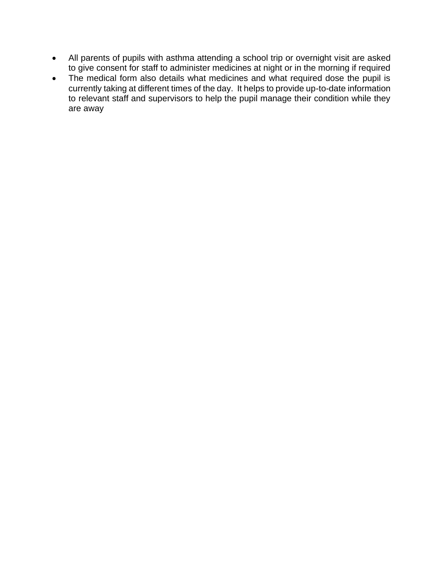- All parents of pupils with asthma attending a school trip or overnight visit are asked to give consent for staff to administer medicines at night or in the morning if required
- The medical form also details what medicines and what required dose the pupil is currently taking at different times of the day. It helps to provide up-to-date information to relevant staff and supervisors to help the pupil manage their condition while they are away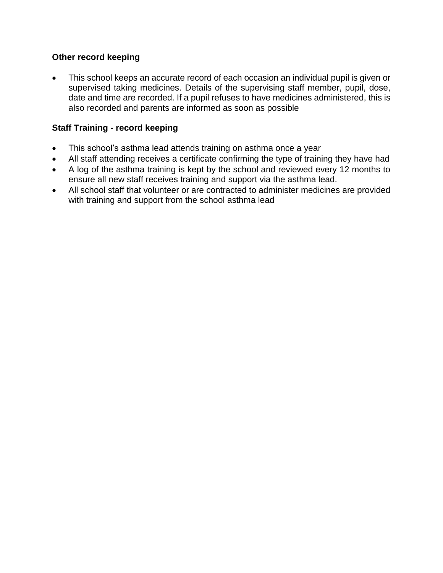#### **Other record keeping**

• This school keeps an accurate record of each occasion an individual pupil is given or supervised taking medicines. Details of the supervising staff member, pupil, dose, date and time are recorded. If a pupil refuses to have medicines administered, this is also recorded and parents are informed as soon as possible

#### **Staff Training - record keeping**

- This school's asthma lead attends training on asthma once a year
- All staff attending receives a certificate confirming the type of training they have had
- A log of the asthma training is kept by the school and reviewed every 12 months to ensure all new staff receives training and support via the asthma lead.
- All school staff that volunteer or are contracted to administer medicines are provided with training and support from the school asthma lead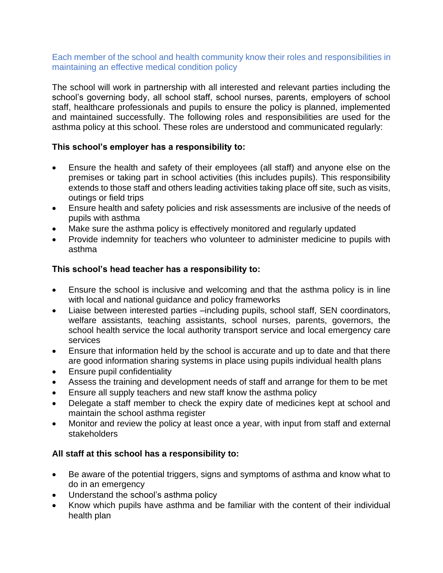#### Each member of the school and health community know their roles and responsibilities in maintaining an effective medical condition policy

The school will work in partnership with all interested and relevant parties including the school's governing body, all school staff, school nurses, parents, employers of school staff, healthcare professionals and pupils to ensure the policy is planned, implemented and maintained successfully. The following roles and responsibilities are used for the asthma policy at this school. These roles are understood and communicated regularly:

#### **This school's employer has a responsibility to:**

- Ensure the health and safety of their employees (all staff) and anyone else on the premises or taking part in school activities (this includes pupils). This responsibility extends to those staff and others leading activities taking place off site, such as visits, outings or field trips
- Ensure health and safety policies and risk assessments are inclusive of the needs of pupils with asthma
- Make sure the asthma policy is effectively monitored and regularly updated
- Provide indemnity for teachers who volunteer to administer medicine to pupils with asthma

#### **This school's head teacher has a responsibility to:**

- Ensure the school is inclusive and welcoming and that the asthma policy is in line with local and national guidance and policy frameworks
- Liaise between interested parties –including pupils, school staff, SEN coordinators, welfare assistants, teaching assistants, school nurses, parents, governors, the school health service the local authority transport service and local emergency care services
- Ensure that information held by the school is accurate and up to date and that there are good information sharing systems in place using pupils individual health plans
- Ensure pupil confidentiality
- Assess the training and development needs of staff and arrange for them to be met
- Ensure all supply teachers and new staff know the asthma policy
- Delegate a staff member to check the expiry date of medicines kept at school and maintain the school asthma register
- Monitor and review the policy at least once a year, with input from staff and external stakeholders

#### **All staff at this school has a responsibility to:**

- Be aware of the potential triggers, signs and symptoms of asthma and know what to do in an emergency
- Understand the school's asthma policy
- Know which pupils have asthma and be familiar with the content of their individual health plan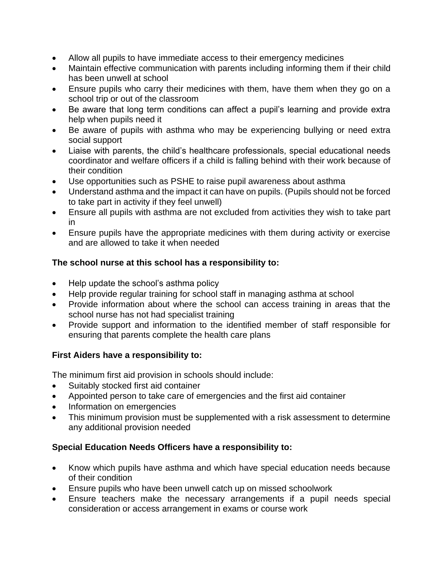- Allow all pupils to have immediate access to their emergency medicines
- Maintain effective communication with parents including informing them if their child has been unwell at school
- Ensure pupils who carry their medicines with them, have them when they go on a school trip or out of the classroom
- Be aware that long term conditions can affect a pupil's learning and provide extra help when pupils need it
- Be aware of pupils with asthma who may be experiencing bullying or need extra social support
- Liaise with parents, the child's healthcare professionals, special educational needs coordinator and welfare officers if a child is falling behind with their work because of their condition
- Use opportunities such as PSHE to raise pupil awareness about asthma
- Understand asthma and the impact it can have on pupils. (Pupils should not be forced to take part in activity if they feel unwell)
- Ensure all pupils with asthma are not excluded from activities they wish to take part in
- Ensure pupils have the appropriate medicines with them during activity or exercise and are allowed to take it when needed

#### **The school nurse at this school has a responsibility to:**

- Help update the school's asthma policy
- Help provide regular training for school staff in managing asthma at school
- Provide information about where the school can access training in areas that the school nurse has not had specialist training
- Provide support and information to the identified member of staff responsible for ensuring that parents complete the health care plans

#### **First Aiders have a responsibility to:**

The minimum first aid provision in schools should include:

- Suitably stocked first aid container
- Appointed person to take care of emergencies and the first aid container
- Information on emergencies
- This minimum provision must be supplemented with a risk assessment to determine any additional provision needed

#### **Special Education Needs Officers have a responsibility to:**

- Know which pupils have asthma and which have special education needs because of their condition
- Ensure pupils who have been unwell catch up on missed schoolwork
- Ensure teachers make the necessary arrangements if a pupil needs special consideration or access arrangement in exams or course work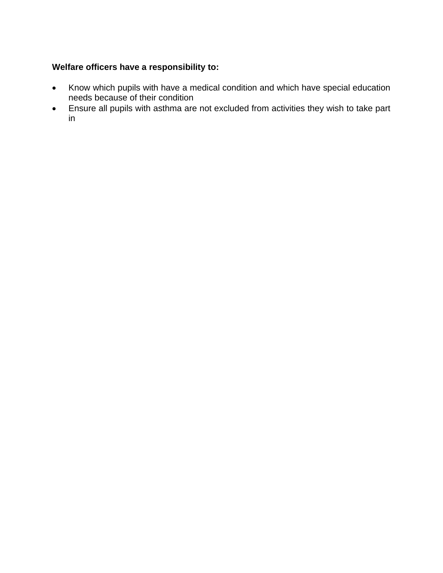#### **Welfare officers have a responsibility to:**

- Know which pupils with have a medical condition and which have special education needs because of their condition
- Ensure all pupils with asthma are not excluded from activities they wish to take part in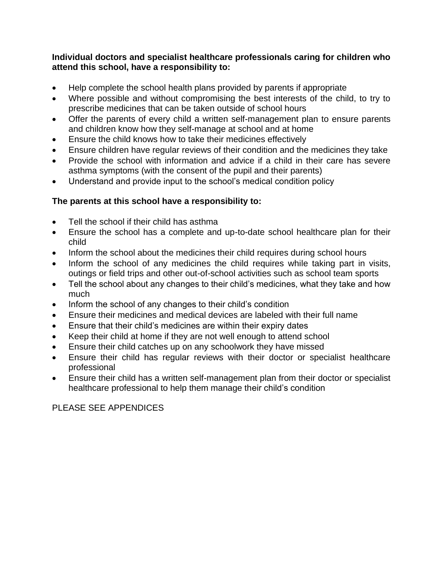#### **Individual doctors and specialist healthcare professionals caring for children who attend this school, have a responsibility to:**

- Help complete the school health plans provided by parents if appropriate
- Where possible and without compromising the best interests of the child, to try to prescribe medicines that can be taken outside of school hours
- Offer the parents of every child a written self-management plan to ensure parents and children know how they self-manage at school and at home
- Ensure the child knows how to take their medicines effectively
- Ensure children have regular reviews of their condition and the medicines they take
- Provide the school with information and advice if a child in their care has severe asthma symptoms (with the consent of the pupil and their parents)
- Understand and provide input to the school's medical condition policy

#### **The parents at this school have a responsibility to:**

- Tell the school if their child has asthma
- Ensure the school has a complete and up-to-date school healthcare plan for their child
- Inform the school about the medicines their child requires during school hours
- Inform the school of any medicines the child requires while taking part in visits, outings or field trips and other out-of-school activities such as school team sports
- Tell the school about any changes to their child's medicines, what they take and how much
- Inform the school of any changes to their child's condition
- Ensure their medicines and medical devices are labeled with their full name
- Ensure that their child's medicines are within their expiry dates
- Keep their child at home if they are not well enough to attend school
- Ensure their child catches up on any schoolwork they have missed
- Ensure their child has regular reviews with their doctor or specialist healthcare professional
- Ensure their child has a written self-management plan from their doctor or specialist healthcare professional to help them manage their child's condition

PLEASE SEE APPENDICES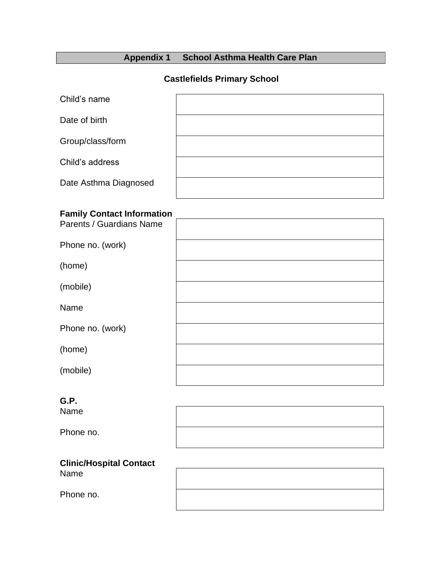## **Appendix 1 School Asthma Health Care Plan**

#### **Castlefields Primary School**

| Child's name          |  |
|-----------------------|--|
| Date of birth         |  |
| Group/class/form      |  |
| Child's address       |  |
| Date Asthma Diagnosed |  |

## **Family Contact Information**

| Parents / Guardians Name |  |
|--------------------------|--|
| Phone no. (work)         |  |
| (home)                   |  |
| (mobile)                 |  |
| Name                     |  |
| Phone no. (work)         |  |
| (home)                   |  |
| (mobile)                 |  |
|                          |  |

### **G.P.**

Name

Phone no.

| <b>ital Contact</b> |  |  |
|---------------------|--|--|

**Clinic/Hosp** Name

Phone no.